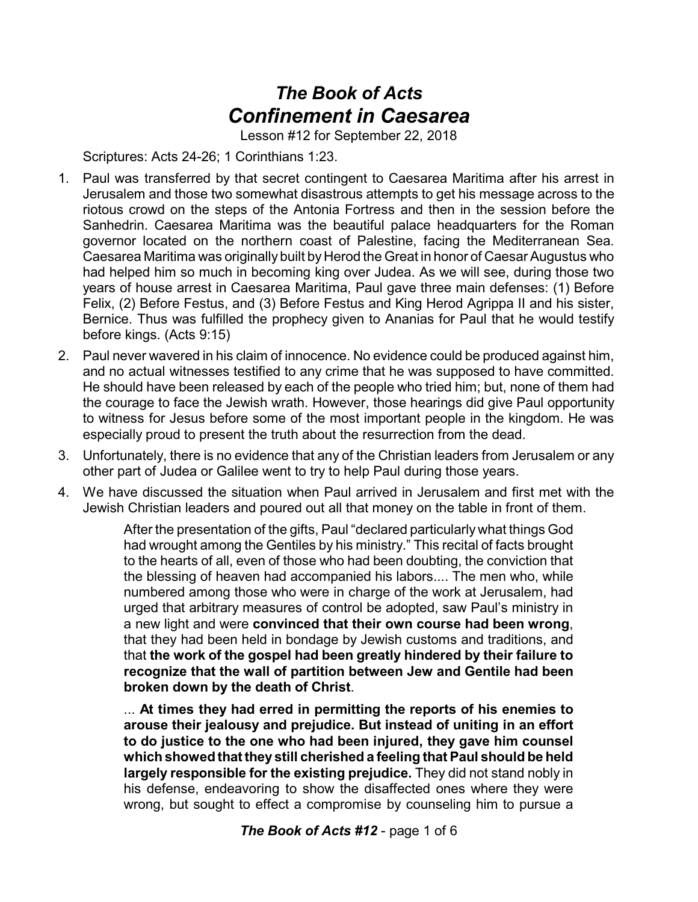## *The Book of Acts Confinement in Caesarea*

Lesson #12 for September 22, 2018

Scriptures: Acts 24-26; 1 Corinthians 1:23.

- 1. Paul was transferred by that secret contingent to Caesarea Maritima after his arrest in Jerusalem and those two somewhat disastrous attempts to get his message across to the riotous crowd on the steps of the Antonia Fortress and then in the session before the Sanhedrin. Caesarea Maritima was the beautiful palace headquarters for the Roman governor located on the northern coast of Palestine, facing the Mediterranean Sea. Caesarea Maritima was originally built by Herod the Great in honor of Caesar Augustus who had helped him so much in becoming king over Judea. As we will see, during those two years of house arrest in Caesarea Maritima, Paul gave three main defenses: (1) Before Felix, (2) Before Festus, and (3) Before Festus and King Herod Agrippa II and his sister, Bernice. Thus was fulfilled the prophecy given to Ananias for Paul that he would testify before kings. (Acts 9:15)
- 2. Paul never wavered in his claim of innocence. No evidence could be produced against him, and no actual witnesses testified to any crime that he was supposed to have committed. He should have been released by each of the people who tried him; but, none of them had the courage to face the Jewish wrath. However, those hearings did give Paul opportunity to witness for Jesus before some of the most important people in the kingdom. He was especially proud to present the truth about the resurrection from the dead.
- 3. Unfortunately, there is no evidence that any of the Christian leaders from Jerusalem or any other part of Judea or Galilee went to try to help Paul during those years.
- 4. We have discussed the situation when Paul arrived in Jerusalem and first met with the Jewish Christian leaders and poured out all that money on the table in front of them.

After the presentation of the gifts, Paul "declared particularly what things God had wrought among the Gentiles by his ministry." This recital of facts brought to the hearts of all, even of those who had been doubting, the conviction that the blessing of heaven had accompanied his labors.... The men who, while numbered among those who were in charge of the work at Jerusalem, had urged that arbitrary measures of control be adopted, saw Paul's ministry in a new light and were **convinced that their own course had been wrong**, that they had been held in bondage by Jewish customs and traditions, and that **the work of the gospel had been greatly hindered by their failure to recognize that the wall of partition between Jew and Gentile had been broken down by the death of Christ**.

... **At times they had erred in permitting the reports of his enemies to arouse their jealousy and prejudice. But instead of uniting in an effort to do justice to the one who had been injured, they gave him counsel which showed thatthey still cherished a feeling that Paul should be held largely responsible for the existing prejudice.** They did not stand nobly in his defense, endeavoring to show the disaffected ones where they were wrong, but sought to effect a compromise by counseling him to pursue a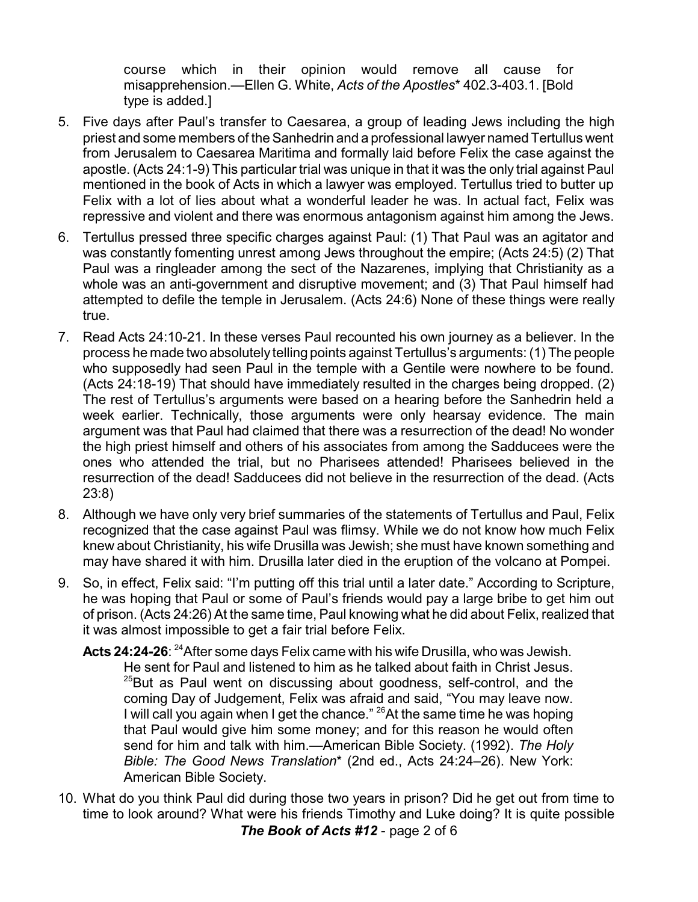course which in their opinion would remove all cause for misapprehension.—Ellen G. White, *Acts of the Apostles*\* 402.3-403.1. [Bold type is added.]

- 5. Five days after Paul's transfer to Caesarea, a group of leading Jews including the high priest and some members of the Sanhedrin and a professional lawyer named Tertullus went from Jerusalem to Caesarea Maritima and formally laid before Felix the case against the apostle. (Acts 24:1-9) This particular trial was unique in that it was the only trial against Paul mentioned in the book of Acts in which a lawyer was employed. Tertullus tried to butter up Felix with a lot of lies about what a wonderful leader he was. In actual fact, Felix was repressive and violent and there was enormous antagonism against him among the Jews.
- 6. Tertullus pressed three specific charges against Paul: (1) That Paul was an agitator and was constantly fomenting unrest among Jews throughout the empire; (Acts 24:5) (2) That Paul was a ringleader among the sect of the Nazarenes, implying that Christianity as a whole was an anti-government and disruptive movement; and (3) That Paul himself had attempted to defile the temple in Jerusalem. (Acts 24:6) None of these things were really true.
- 7. Read Acts 24:10-21. In these verses Paul recounted his own journey as a believer. In the process he made two absolutely telling points against Tertullus's arguments: (1) The people who supposedly had seen Paul in the temple with a Gentile were nowhere to be found. (Acts 24:18-19) That should have immediately resulted in the charges being dropped. (2) The rest of Tertullus's arguments were based on a hearing before the Sanhedrin held a week earlier. Technically, those arguments were only hearsay evidence. The main argument was that Paul had claimed that there was a resurrection of the dead! No wonder the high priest himself and others of his associates from among the Sadducees were the ones who attended the trial, but no Pharisees attended! Pharisees believed in the resurrection of the dead! Sadducees did not believe in the resurrection of the dead. (Acts 23:8)
- 8. Although we have only very brief summaries of the statements of Tertullus and Paul, Felix recognized that the case against Paul was flimsy. While we do not know how much Felix knew about Christianity, his wife Drusilla was Jewish; she must have known something and may have shared it with him. Drusilla later died in the eruption of the volcano at Pompei.
- 9. So, in effect, Felix said: "I'm putting off this trial until a later date." According to Scripture, he was hoping that Paul or some of Paul's friends would pay a large bribe to get him out of prison. (Acts 24:26) At the same time, Paul knowing what he did about Felix, realized that it was almost impossible to get a fair trial before Felix.

**Acts 24:24-26**: <sup>24</sup>After some days Felix came with his wife Drusilla, who was Jewish. He sent for Paul and listened to him as he talked about faith in Christ Jesus.  $25$ But as Paul went on discussing about goodness, self-control, and the coming Day of Judgement, Felix was afraid and said, "You may leave now. I will call you again when I get the chance." <sup>26</sup>At the same time he was hoping that Paul would give him some money; and for this reason he would often send for him and talk with him.—American Bible Society. (1992). *The Holy Bible: The Good News Translation*\* (2nd ed., Acts 24:24–26). New York: American Bible Society.

10. What do you think Paul did during those two years in prison? Did he get out from time to time to look around? What were his friends Timothy and Luke doing? It is quite possible *The Book of Acts #12* - page 2 of 6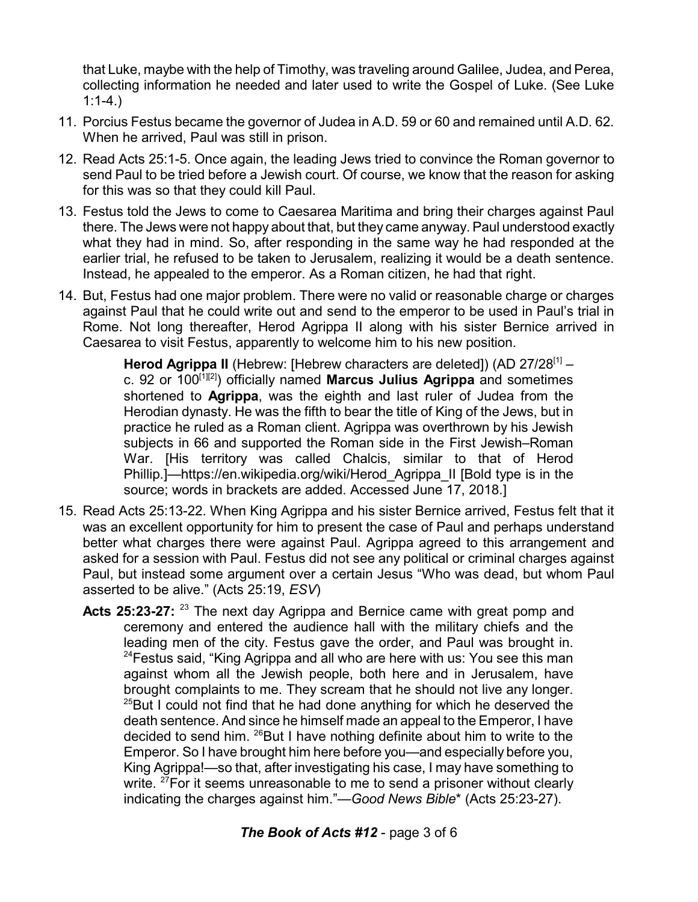that Luke, maybe with the help of Timothy, was traveling around Galilee, Judea, and Perea, collecting information he needed and later used to write the Gospel of Luke. (See Luke  $1:1-4.$ 

- 11. Porcius Festus became the governor of Judea in A.D. 59 or 60 and remained until A.D. 62. When he arrived, Paul was still in prison.
- 12. Read Acts 25:1-5. Once again, the leading Jews tried to convince the Roman governor to send Paul to be tried before a Jewish court. Of course, we know that the reason for asking for this was so that they could kill Paul.
- 13. Festus told the Jews to come to Caesarea Maritima and bring their charges against Paul there. The Jews were not happy about that, but they came anyway. Paul understood exactly what they had in mind. So, after responding in the same way he had responded at the earlier trial, he refused to be taken to Jerusalem, realizing it would be a death sentence. Instead, he appealed to the emperor. As a Roman citizen, he had that right.
- 14. But, Festus had one major problem. There were no valid or reasonable charge or charges against Paul that he could write out and send to the emperor to be used in Paul's trial in Rome. Not long thereafter, Herod Agrippa II along with his sister Bernice arrived in Caesarea to visit Festus, apparently to welcome him to his new position.

Herod Agrippa II (Hebrew: [Hebrew characters are deleted]) (AD 27/28<sup>[1]</sup> c. 92 or 100 [1][2] ) officially named **Marcus Julius Agrippa** and sometimes shortened to **Agrippa**, was the eighth and last ruler of Judea from the Herodian dynasty. He was the fifth to bear the title of King of the Jews, but in practice he ruled as a Roman client. Agrippa was overthrown by his Jewish subjects in 66 and supported the Roman side in the First Jewish–Roman War. [His territory was called Chalcis, similar to that of Herod Phillip.]—https://en.wikipedia.org/wiki/Herod\_Agrippa\_II [Bold type is in the source; words in brackets are added. Accessed June 17, 2018.]

- 15. Read Acts 25:13-22. When King Agrippa and his sister Bernice arrived, Festus felt that it was an excellent opportunity for him to present the case of Paul and perhaps understand better what charges there were against Paul. Agrippa agreed to this arrangement and asked for a session with Paul. Festus did not see any political or criminal charges against Paul, but instead some argument over a certain Jesus "Who was dead, but whom Paul asserted to be alive." (Acts 25:19, *ESV*)
	- **Acts 25:23-27:** <sup>23</sup> The next day Agrippa and Bernice came with great pomp and ceremony and entered the audience hall with the military chiefs and the leading men of the city. Festus gave the order, and Paul was brought in.  $24$ Festus said, "King Agrippa and all who are here with us: You see this man against whom all the Jewish people, both here and in Jerusalem, have brought complaints to me. They scream that he should not live any longer.  $^{25}$ But I could not find that he had done anything for which he deserved the death sentence. And since he himself made an appeal to the Emperor, I have decided to send him. <sup>26</sup>But I have nothing definite about him to write to the Emperor. So I have brought him here before you—and especially before you, King Agrippa!—so that, after investigating his case, I may have something to write. <sup>27</sup>For it seems unreasonable to me to send a prisoner without clearly indicating the charges against him."—*Good News Bible*\* (Acts 25:23-27).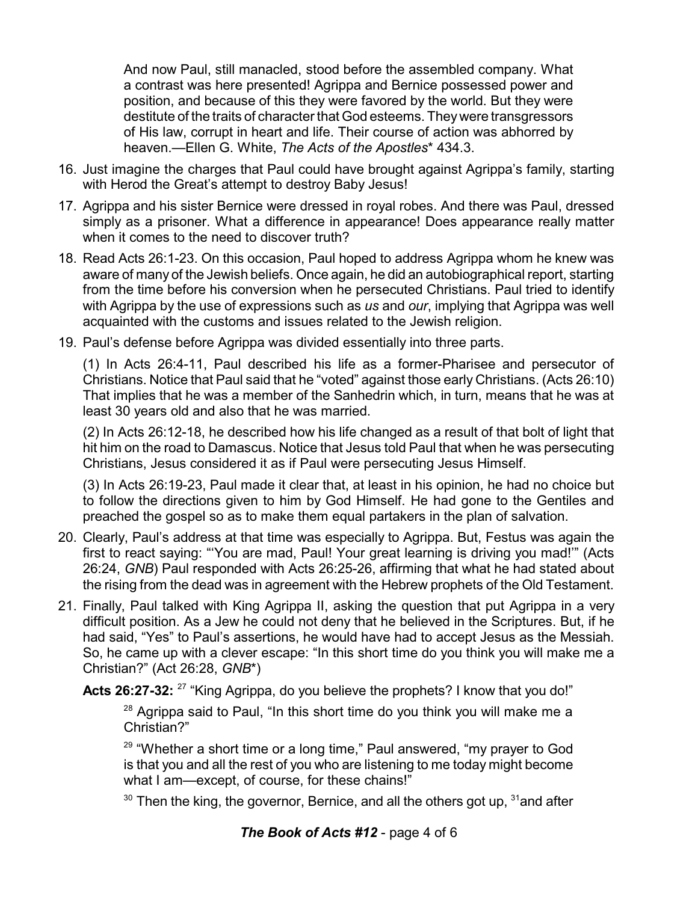And now Paul, still manacled, stood before the assembled company. What a contrast was here presented! Agrippa and Bernice possessed power and position, and because of this they were favored by the world. But they were destitute of the traits of character that God esteems. Theywere transgressors of His law, corrupt in heart and life. Their course of action was abhorred by heaven.—Ellen G. White, *The Acts of the Apostles*\* 434.3.

- 16. Just imagine the charges that Paul could have brought against Agrippa's family, starting with Herod the Great's attempt to destroy Baby Jesus!
- 17. Agrippa and his sister Bernice were dressed in royal robes. And there was Paul, dressed simply as a prisoner. What a difference in appearance! Does appearance really matter when it comes to the need to discover truth?
- 18. Read Acts 26:1-23. On this occasion, Paul hoped to address Agrippa whom he knew was aware of many of the Jewish beliefs. Once again, he did an autobiographical report, starting from the time before his conversion when he persecuted Christians. Paul tried to identify with Agrippa by the use of expressions such as *us* and *our*, implying that Agrippa was well acquainted with the customs and issues related to the Jewish religion.
- 19. Paul's defense before Agrippa was divided essentially into three parts.

(1) In Acts 26:4-11, Paul described his life as a former-Pharisee and persecutor of Christians. Notice that Paul said that he "voted" against those early Christians. (Acts 26:10) That implies that he was a member of the Sanhedrin which, in turn, means that he was at least 30 years old and also that he was married.

(2) In Acts 26:12-18, he described how his life changed as a result of that bolt of light that hit him on the road to Damascus. Notice that Jesus told Paul that when he was persecuting Christians, Jesus considered it as if Paul were persecuting Jesus Himself.

(3) In Acts 26:19-23, Paul made it clear that, at least in his opinion, he had no choice but to follow the directions given to him by God Himself. He had gone to the Gentiles and preached the gospel so as to make them equal partakers in the plan of salvation.

- 20. Clearly, Paul's address at that time was especially to Agrippa. But, Festus was again the first to react saying: "'You are mad, Paul! Your great learning is driving you mad!'" (Acts 26:24, *GNB*) Paul responded with Acts 26:25-26, affirming that what he had stated about the rising from the dead was in agreement with the Hebrew prophets of the Old Testament.
- 21. Finally, Paul talked with King Agrippa II, asking the question that put Agrippa in a very difficult position. As a Jew he could not deny that he believed in the Scriptures. But, if he had said, "Yes" to Paul's assertions, he would have had to accept Jesus as the Messiah. So, he came up with a clever escape: "In this short time do you think you will make me a Christian?" (Act 26:28, *GNB*\*)

Acts 26:27-32: <sup>27</sup> "King Agrippa, do you believe the prophets? I know that you do!"

 $28$  Agrippa said to Paul, "In this short time do you think you will make me a Christian?"

<sup>29</sup> "Whether a short time or a long time," Paul answered, "my prayer to God is that you and all the rest of you who are listening to me today might become what I am—except, of course, for these chains!"

 $^{\rm 30}$  Then the king, the governor, Bernice, and all the others got up,  $^{\rm 31}$ and after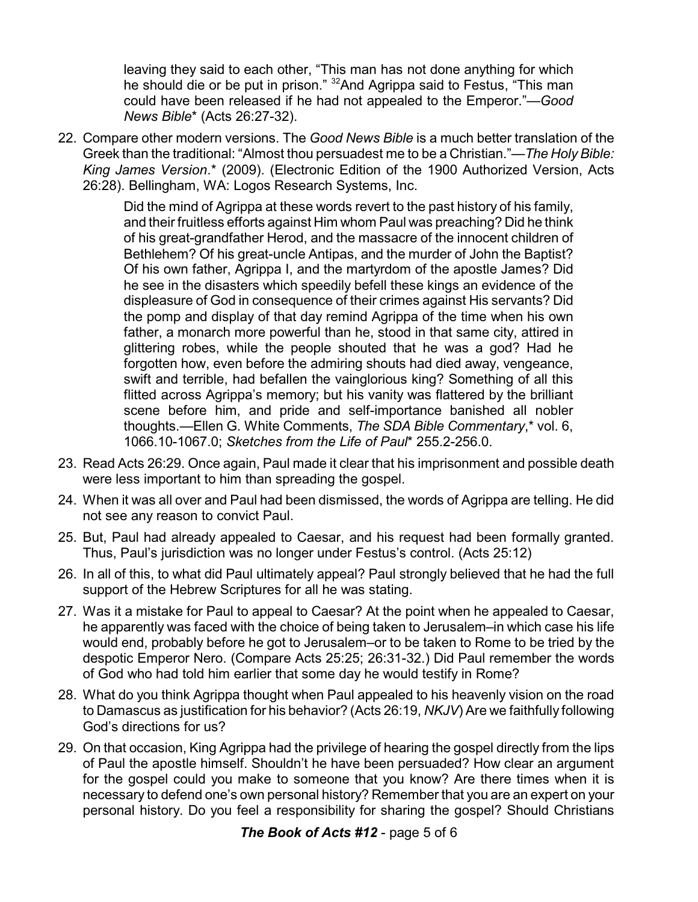leaving they said to each other, "This man has not done anything for which he should die or be put in prison." <sup>32</sup>And Agrippa said to Festus, "This man could have been released if he had not appealed to the Emperor."—*Good News Bible*\* (Acts 26:27-32).

22. Compare other modern versions. The *Good News Bible* is a much better translation of the Greek than the traditional: "Almost thou persuadest me to be a Christian."—*The Holy Bible: King James Version*.\* (2009). (Electronic Edition of the 1900 Authorized Version, Acts 26:28). Bellingham, WA: Logos Research Systems, Inc.

> Did the mind of Agrippa at these words revert to the past history of his family, and their fruitless efforts against Him whom Paul was preaching? Did he think of his great-grandfather Herod, and the massacre of the innocent children of Bethlehem? Of his great-uncle Antipas, and the murder of John the Baptist? Of his own father, Agrippa I, and the martyrdom of the apostle James? Did he see in the disasters which speedily befell these kings an evidence of the displeasure of God in consequence of their crimes against His servants? Did the pomp and display of that day remind Agrippa of the time when his own father, a monarch more powerful than he, stood in that same city, attired in glittering robes, while the people shouted that he was a god? Had he forgotten how, even before the admiring shouts had died away, vengeance, swift and terrible, had befallen the vainglorious king? Something of all this flitted across Agrippa's memory; but his vanity was flattered by the brilliant scene before him, and pride and self-importance banished all nobler thoughts.—Ellen G. White Comments, *The SDA Bible Commentary*,\* vol. 6, 1066.10-1067.0; *Sketches from the Life of Paul*\* 255.2-256.0.

- 23. Read Acts 26:29. Once again, Paul made it clear that his imprisonment and possible death were less important to him than spreading the gospel.
- 24. When it was all over and Paul had been dismissed, the words of Agrippa are telling. He did not see any reason to convict Paul.
- 25. But, Paul had already appealed to Caesar, and his request had been formally granted. Thus, Paul's jurisdiction was no longer under Festus's control. (Acts 25:12)
- 26. In all of this, to what did Paul ultimately appeal? Paul strongly believed that he had the full support of the Hebrew Scriptures for all he was stating.
- 27. Was it a mistake for Paul to appeal to Caesar? At the point when he appealed to Caesar, he apparently was faced with the choice of being taken to Jerusalem–in which case his life would end, probably before he got to Jerusalem–or to be taken to Rome to be tried by the despotic Emperor Nero. (Compare Acts 25:25; 26:31-32.) Did Paul remember the words of God who had told him earlier that some day he would testify in Rome?
- 28. What do you think Agrippa thought when Paul appealed to his heavenly vision on the road to Damascus as justification for his behavior? (Acts 26:19, *NKJV*) Are we faithfully following God's directions for us?
- 29. On that occasion, King Agrippa had the privilege of hearing the gospel directly from the lips of Paul the apostle himself. Shouldn't he have been persuaded? How clear an argument for the gospel could you make to someone that you know? Are there times when it is necessary to defend one's own personal history? Remember that you are an expert on your personal history. Do you feel a responsibility for sharing the gospel? Should Christians